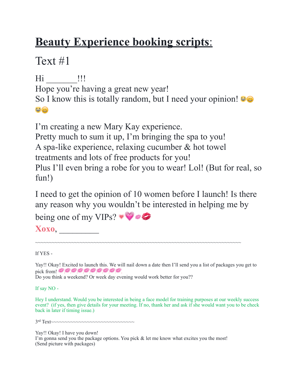## **Beauty Experience booking scripts**:

Text #1

Hi \_\_\_\_\_\_\_\_ !!! Hope you're having a great new year! So I know this is totally random, but I need your opinion!  $\mathbf{C} \odot$ 

I'm creating a new Mary Kay experience. Pretty much to sum it up, I'm bringing the spa to you! A spa-like experience, relaxing cucumber & hot towel treatments and lots of free products for you! Plus I'll even bring a robe for you to wear! Lol! (But for real, so fun!)

I need to get the opinion of 10 women before I launch! Is there any reason why you wouldn't be interested in helping me by

being one of my VIPs?

**Xoxo**, \_\_\_\_\_\_\_\_\_

~~~~~~~~~~~~~~~~~~~~~~~~~~~~~~~~~~~~~~~~~~~~~~~~~~~~~~~~~~~~~~~~~~~~~~~~~~

## If YES -

Yay!! Okay! Excited to launch this. We will nail down a date then I'll send you a list of packages you get to pick from!  $0000000000$ 

Do you think a weekend? Or week day evening would work better for you??

If say NO -

Hey I understand. Would you be interested in being a face model for training purposes at our weekly success event? (if yes, then give details for your meeting. If no, thank her and ask if she would want you to be check back in later if timing issue.)

3rd Text~~~~~~~~~~~~~~~~~~~~~~~~~~~~~~

Yay!! Okay! I have you down!

I'm gonna send you the package options. You pick  $\&$  let me know what excites you the most! (Send picture with packages)